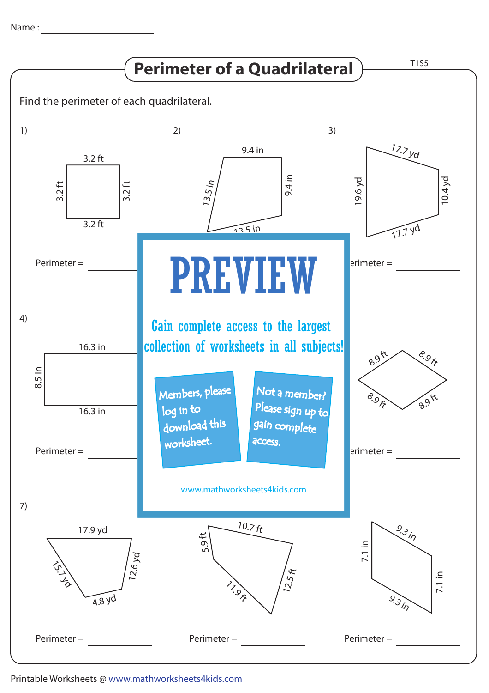Name : with the state of  $\sim$ 



## Printable Worksheets @ www.mathworksheets4kids.com